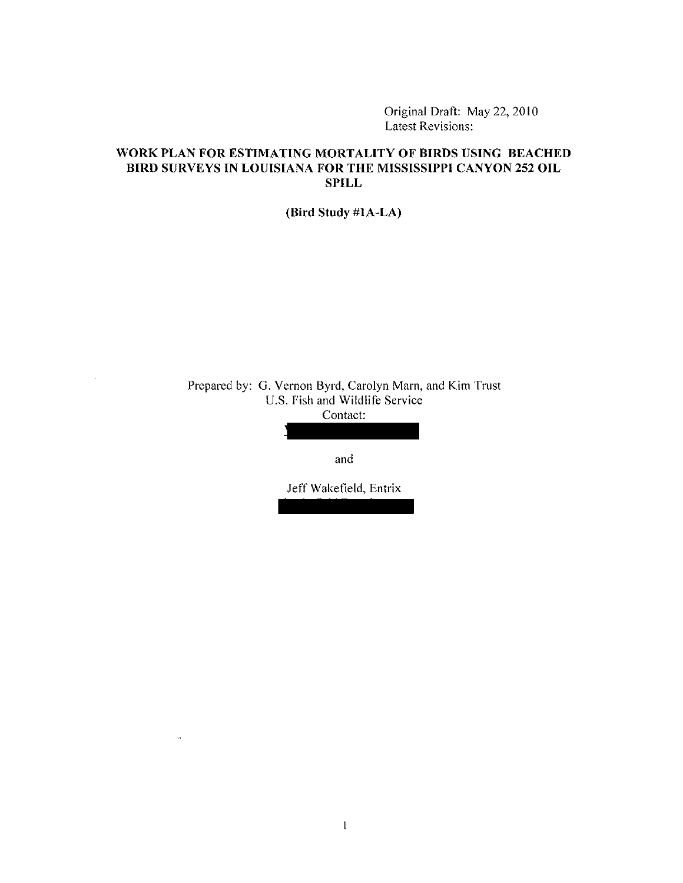Original Draft: May 22, 2010 Latest Revisions:

# **WORK PLAN FOR ESTIMATING MORTALITY OF BIRDS USING BEACHED BIRD SURVEYS IN LOUISIANA FOR THE MISSISSIPPI CANYON 252 OIL SPILL**

**(Bird Study #lA-LA)** 

Prepared by: G. Vernon Byrd, Carolyn Mam, and Kim Trust U.S. Fish and Wildlife Service Contact:

 $\mathcal{A}^{\pm}$ 

and

Jeff Wakefield, Entrix  $\mathcal{L}$   $\mathcal{L}$   $\mathcal{L}$   $\mathcal{L}$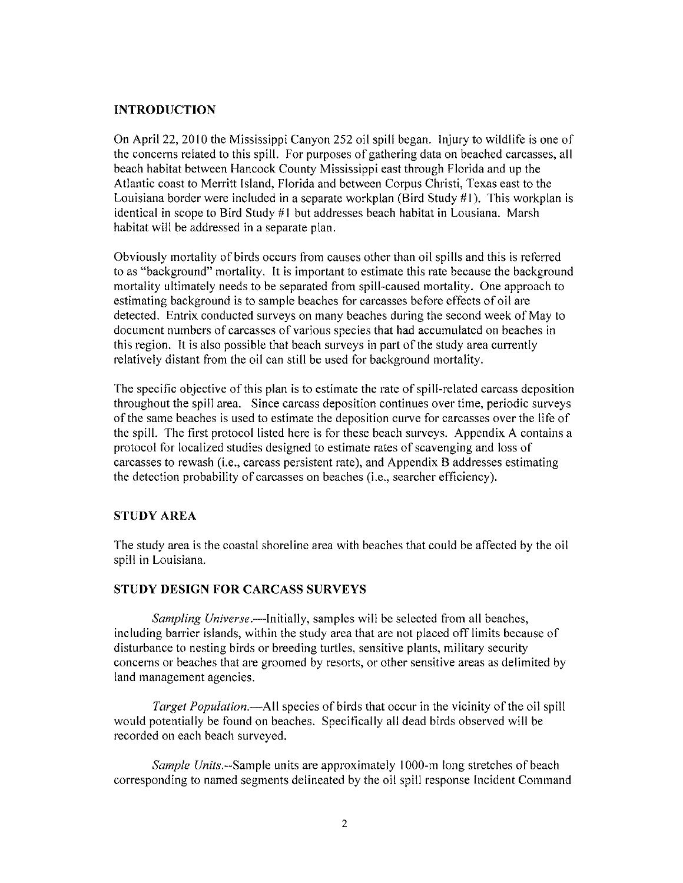## **INTRODUCTION**

On April 22, 2010 the Mississippi Canyon 252 oil spill began. Injury to wildlife is one of the concerns related to this spill. For purposes of gathering data on beached carcasses, all beach habitat between Hancock County Mississippi east through Florida and up the Atlantic coast to Merritt Island, Florida and between Corpus Christi, Texas east to the Louisiana border were included in a separate workplan (Bird Study  $#1$ ). This workplan is identical in scope to Bird Study  $#1$  but addresses beach habitat in Lousiana. Marsh habitat will be addressed in a separate plan.

Obviously mortality of birds occurs from causes other than oil spills and this is referred to as "background" mortality. It is important to estimate this rate because the background mortality ultimately needs to be separated from spill-caused mortality. One approach to estimating background is to sample beaches for carcasses before effects of oil are detected. Entrix conducted surveys on many beaches during the second week of May to document numbers of carcasses of various species that had accumulated on beaches in this region. It is also possible that beach surveys in part of the study area currently relatively distant from the oil can still be used for background mortality.

The specific objective of this plan is to estimate the rate of spill-related carcass deposition throughout the spill area. Since carcass deposition continues over time, periodic surveys of the same beaches is used to estimate the deposition curve for carcasses over the life of the spill. The first protocol listed here is for these beach surveys. Appendix A contains a protocol for localized studies designed to estimate rates of scavenging and loss of carcasses to rewash (i.e., carcass persistent rate), and Appendix B addresses estimating the detection probability of carcasses on beaches (i.e., searcher efficiency).

## **STUDY AREA**

The study area is the coastal shoreline area with beaches that could be affected by the oil spill in Louisiana.

## **STUDY DESIGN FOR** CARCASS **SURVEYS**

*Sampling Universe.-Initially,* samples will be selected from all beaches, including barrier islands, within the study area that are not placed off limits because of disturbance to nesting birds or breeding turtles, sensitive plants, military security concerns or beaches that are groomed by resorts, or other sensitive areas as delimited by land management agencies.

*Target Population.-AII* species of birds that occur in the vicinity of the oil spill would potentially be found on beaches. Specifically all dead birds observed will be recorded on each beach surveyed.

*Sample Units.*--Sample units are approximately 1000-m long stretches of beach corresponding to named segments delineated by the oil spill response Incident Command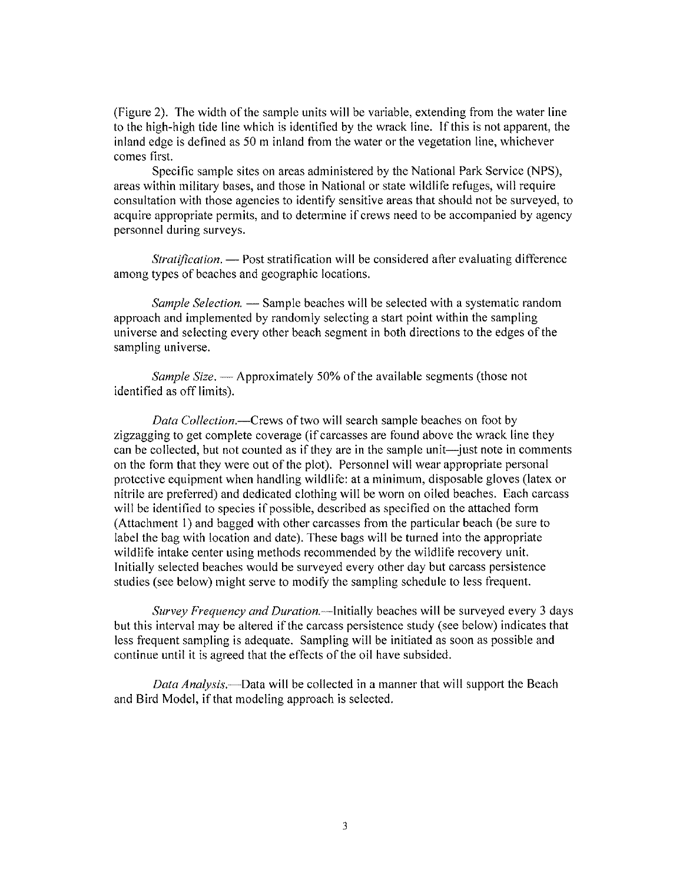(Figure 2). The width of the sample units will be variable, extending from the water line to the high-high tide line which is identified by the wrack line. If this is not apparent, the inland edge is defined as 50 m inland from the water or the vegetation line, whichever comes first.

Specific sample sites on areas administered by the National Park Service (NPS), areas within military bases, and those in National or state wildlife refuges, will require consultation with those agencies to identify sensitive areas that should not be surveyed, to acquire appropriate permits, and to determine if crews need to be accompanied by agency personnel during surveys.

*Stratification.* — Post stratification will be considered after evaluating difference among types of beaches and geographic locations.

*Sample Selection.* — Sample beaches will be selected with a systematic random approach and implemented by randomly selecting a start point within the sampling universe and selecting every other beach segment in both directions to the edges of the sampling universe.

*Sample Size.* — Approximately 50% of the available segments (those not identified as off limits).

*Data Collection.-Crews* of two will search sample beaches on foot by zigzagging to get complete coverage (if carcasses are found above the wrack line they can be collected, but not counted as if they are in the sample unit—just note in comments on the form that they were out of the plot). Personnel will wear appropriate personal protective equipment when handling wildlife: at a minimum, disposable gloves (latex or nitrile are preferred) and dedicated clothing will be worn on oiled beaches. Each carcass will be identified to species if possible, described as specified on the attached form (Attachment 1) and bagged with other carcasses from the particular beach (be sure to label the bag with location and date). These bags will be turned into the appropriate wildlife intake center using methods recommended by the wildlife recovery unit. Initially selected beaches would be surveyed every other day but carcass persistence studies (see below) might serve to modify the sampling schedule to less frequent.

*Survey Frequency and Duration.*—Initially beaches will be surveyed every 3 days but this interval may be altered if the carcass persistence study (see below) indicates that less frequent sampling is adequate. Sampling will be initiated as soon as possible and continue until it is agreed that the effects of the oil have subsided.

*Data Analysis.-Data* will be collected in a manner that will support the Beach and Bird Model, if that modeling approach is selected.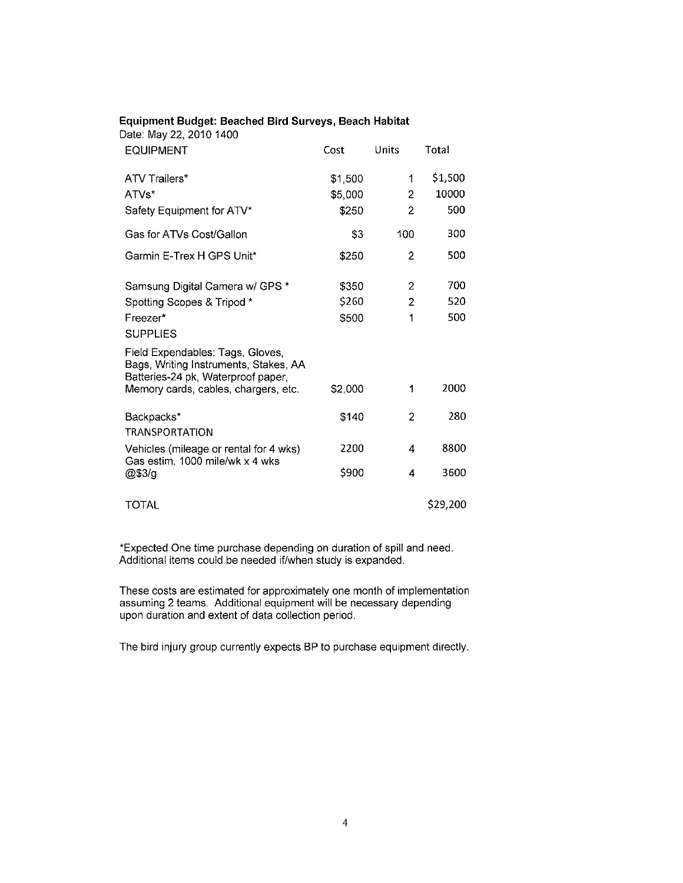| Date: May 22, 2010 1400                                                                                         |         |                |          |
|-----------------------------------------------------------------------------------------------------------------|---------|----------------|----------|
| EQUIPMENT                                                                                                       | Cost    | Units          | Total    |
| <b>ATV Trailers*</b>                                                                                            | \$1,500 | 1              | \$1,500  |
| ATVs*                                                                                                           | \$5,000 | 2              | 10000    |
| Safety Equipment for ATV*                                                                                       | \$250   | 2              | 500      |
| Gas for ATVs Cost/Gallon                                                                                        | \$3     | 100            | 300      |
| Garmin E-Trex H GPS Unit*                                                                                       | \$250   | 2              | 500      |
| Samsung Digital Camera w/ GPS *                                                                                 | \$350   | $\overline{2}$ | 700      |
| Spotting Scopes & Tripod *                                                                                      | \$260   | 2              | 520      |
| Freezer*                                                                                                        | \$500   | 1              | 500      |
| <b>SUPPLIES</b>                                                                                                 |         |                |          |
| Field Expendables: Tags, Gloves,<br>Bags, Writing Instruments, Stakes, AA<br>Batteries-24 pk, Waterproof paper, |         |                |          |
| Memory cards, cables, chargers, etc.                                                                            | \$2,000 | 1              | 2000     |
| Backpacks*                                                                                                      | \$140   | 2              | 280      |
| <b>TRANSPORTATION</b>                                                                                           |         |                |          |
| Vehicles (mileage or rental for 4 wks)<br>Gas estim, 1000 mile/wk x 4 wks                                       | 2200    | 4              | 8800     |
| @\$3/g                                                                                                          | \$900   | 4              | 3600     |
| <b>TOTAL</b>                                                                                                    |         |                | \$29,200 |

### **Equipment Budget: Beached Bird Surveys. Beach Habitat**

'Expected One time purchase depending on duration of spill and need. Additional items could be needed if/when study is expanded.

These costs are estimated for approximately one month of implementation assuming 2 teams. Additional equipment will be necessary depending upon duration and extent of data collection period.

The bird injury group currently expects BP to purchase equipment directly.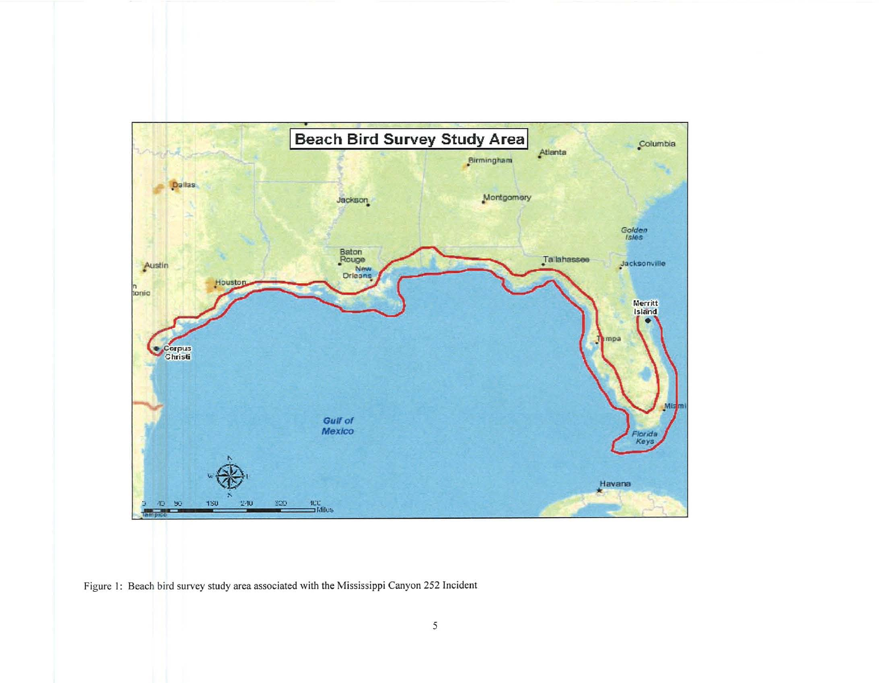

Figure 1: Beach bird survey study area associated with the Mississippi Canyon 252 Incident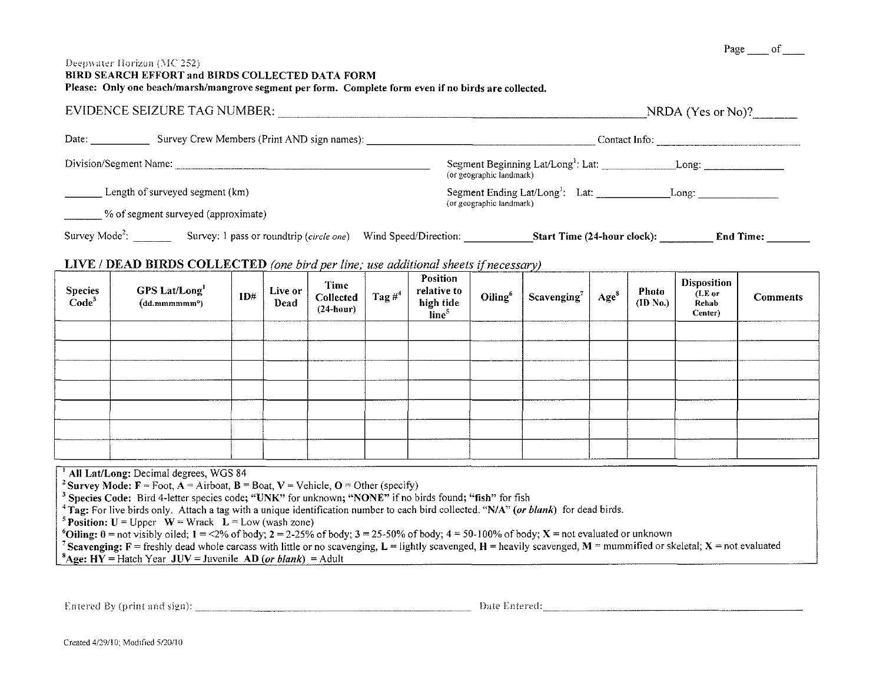#### Deepwater Horizon (MC 252) BIRD SEARCH EFFORT and BIRDS COLLECTED DATA FORM Please: Only one beach/marsh/mangrove segment per form. Complete form even if no birds are collected,

|                            | EVIDENCE SEIZURE TAG NUMBER:                |                          | $NRDA$ (Yes or No)?                                                              |                  |  |  |  |  |  |
|----------------------------|---------------------------------------------|--------------------------|----------------------------------------------------------------------------------|------------------|--|--|--|--|--|
| Date:                      | Survey Crew Members (Print AND sign names): |                          | Contact Info:                                                                    |                  |  |  |  |  |  |
| Division/Segment Name:     |                                             | (or geographic landmark) | Segment Beginning Lat/Long <sup>1</sup> : Lat:                                   | Long:            |  |  |  |  |  |
|                            | Length of surveyed segment (km)             |                          | Segment Ending Lat/Long <sup>1</sup> : Lat:<br>Long:<br>(or geographic landmark) |                  |  |  |  |  |  |
|                            | % of segment surveyed (approximate)         |                          |                                                                                  |                  |  |  |  |  |  |
| Survey Mode <sup>2</sup> : | Survey: I pass or roundtrip (circle one)    | Wind Speed/Direction:    | Start Time (24-hour clock):                                                      | <b>End Time:</b> |  |  |  |  |  |

# LIVE / DEAD BIRDS COLLECTED (one bird per line; use additional sheets if necessary)

| Species<br>Code <sup>3</sup> | GPS Lat/Long<br>(dd.mmmmm <sup>o</sup> ) | ID# | Live or<br><b>Dead</b> | Time<br>Collected<br>$(24$ -hour) | Tag $#^4$ | Position<br>relative to<br>high tide<br>line <sup>5</sup> | Oiling <sup>6</sup> | Scavenging $^7$ | Age <sup>8</sup> | Photo<br>(ID No.) | Disposition<br>(LE or<br>Rehab<br>Center) | <b>Comments</b> |
|------------------------------|------------------------------------------|-----|------------------------|-----------------------------------|-----------|-----------------------------------------------------------|---------------------|-----------------|------------------|-------------------|-------------------------------------------|-----------------|
|                              |                                          |     |                        |                                   |           |                                                           |                     |                 |                  |                   |                                           |                 |
|                              |                                          |     |                        |                                   |           |                                                           |                     |                 |                  |                   |                                           |                 |
|                              |                                          |     |                        |                                   |           |                                                           |                     |                 |                  |                   |                                           |                 |
|                              |                                          |     |                        |                                   |           |                                                           |                     |                 |                  |                   |                                           |                 |
|                              |                                          |     |                        |                                   |           |                                                           |                     |                 |                  |                   |                                           |                 |
|                              |                                          |     |                        |                                   |           |                                                           |                     |                 |                  |                   |                                           |                 |
|                              |                                          |     |                        |                                   |           |                                                           |                     |                 |                  |                   |                                           |                 |

| <sup>1</sup> All Lat/Long: Decimal degrees, WGS 84 |  |  |  |  |  |  |  |
|----------------------------------------------------|--|--|--|--|--|--|--|
|----------------------------------------------------|--|--|--|--|--|--|--|

<sup>2</sup> Survey Mode:  $F =$  Foot,  $A =$  Airboat,  $B =$  Boat,  $V =$  Vehicle,  $O =$  Other (specify)

<sup>3</sup> Species Code: Bird 4-letter species code; "UNK" for unknown; "NONE" if no birds found; "fish" for fish

<sup>4</sup>Tag: For live birds only. Attach a tag with a unique identification number to each bird collected. "N/A" (or blank) for dead birds.

<sup>5</sup> Position: U = Upper  $W = W$ rack  $L = Low (wash zone)$ 

<sup>6</sup>Oiling:  $0 =$  not visibly oiled;  $1 = \frac{2\%}{6}$  of body;  $2 = 2.25\%$  of body;  $3 = 25.50\%$  of body;  $4 = 50.100\%$  of body;  $X =$  not evaluated or unknown

<sup>7</sup> Scavenging:  $F =$  freshly dead whole carcass with little or no scavenging,  $L =$  lightly scavenged,  $H =$  heavily scavenged,  $M =$  mummified or skeletal;  $X =$  not evaluated <sup>8</sup>Age: HY = Hatch Year JUV = Juvenile AD (or blank) = Adult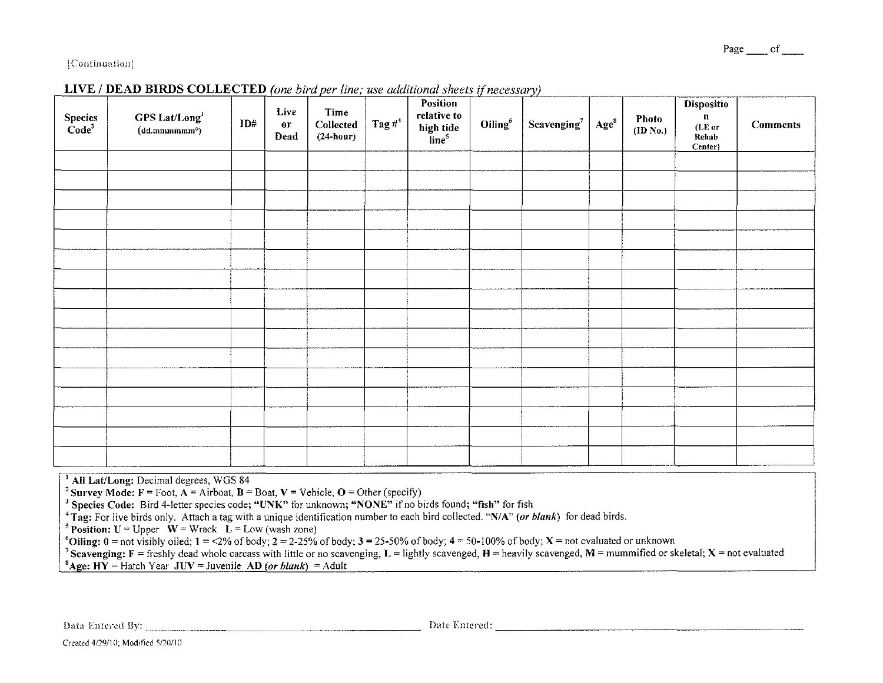#### Page of

#### [Continuation]

| $\begin{array}{c} \rm Species\\ \rm Code^3 \end{array}$ | GPS Lat/Long<br>$(dd.mmmmm^{\circ})$ | ID# | Live<br>$\mathbf{or}$<br>Dead | Time<br>Collected<br>$(24$ -hour) | Tag $\#^4$ | Position<br>relative to<br>high tide<br>line <sup>5</sup> | Oiling <sup>6</sup> | Scavenging $^7$ | $\mathbf{Age}^8$ | <b>Photo</b><br>(ID No.) | <b>Dispositio</b><br>$\mathbf n$<br>(LE or<br>Rehab<br>Center) | <b>Comments</b> |
|---------------------------------------------------------|--------------------------------------|-----|-------------------------------|-----------------------------------|------------|-----------------------------------------------------------|---------------------|-----------------|------------------|--------------------------|----------------------------------------------------------------|-----------------|
|                                                         |                                      |     |                               |                                   |            |                                                           |                     |                 |                  |                          |                                                                |                 |
|                                                         |                                      |     |                               |                                   |            |                                                           |                     |                 |                  |                          |                                                                |                 |
|                                                         |                                      |     |                               |                                   |            |                                                           |                     |                 |                  |                          |                                                                |                 |
|                                                         |                                      |     |                               |                                   |            |                                                           |                     |                 |                  |                          |                                                                |                 |
|                                                         |                                      |     |                               |                                   |            |                                                           |                     |                 |                  |                          |                                                                |                 |
|                                                         |                                      |     |                               |                                   |            |                                                           |                     |                 |                  |                          |                                                                |                 |
|                                                         |                                      |     |                               |                                   |            |                                                           |                     |                 |                  |                          |                                                                |                 |
|                                                         |                                      |     |                               |                                   |            |                                                           |                     |                 |                  |                          |                                                                |                 |
|                                                         |                                      |     |                               |                                   |            |                                                           |                     |                 |                  |                          |                                                                |                 |
|                                                         |                                      |     |                               |                                   |            |                                                           |                     |                 |                  |                          |                                                                |                 |
|                                                         |                                      |     |                               |                                   |            |                                                           |                     |                 |                  |                          |                                                                |                 |
|                                                         |                                      |     |                               |                                   |            |                                                           |                     |                 |                  |                          |                                                                |                 |
|                                                         |                                      |     |                               |                                   |            |                                                           |                     |                 |                  |                          |                                                                |                 |
|                                                         |                                      |     |                               |                                   |            |                                                           |                     |                 |                  |                          |                                                                |                 |
|                                                         |                                      |     |                               |                                   |            |                                                           |                     |                 |                  |                          |                                                                |                 |
|                                                         |                                      |     |                               |                                   |            |                                                           |                     |                 |                  |                          |                                                                |                 |

# LIVE / DEAD BIRDS COLLECTED (one bird per line; use additional sheets if necessary)

<sup>1</sup> All Lat/Long: Decimal degrees, WGS 84

<sup>2</sup> Survey Mode: F = Foot, A = Airboat, B = Boat, V = Vehicle, O = Other (specify)

<sup>3</sup> Species Code: Bird 4-letter species code; "UNK" for unknown; "NONE" if no birds found; "fish" for fish

<sup>4</sup>Tag: For live birds only. Attach a tag with a unique identification number to each bird collected. "N/A" (or blank) for dead birds.

<sup>5</sup> Position: U = Upper  $\mathbf{\hat{W}}$  = Wrack  $\mathbf{\tilde{L}}$  = Low (wash zone)

<sup>6</sup>Oiling:  $0 =$  not visibly oiled;  $1 = 2\%$  of body;  $2 = 2.25\%$  of body;  $3 = 25.50\%$  of body;  $4 = 50.100\%$  of body;  $X =$  not evaluated or unknown

<sup>7</sup> Scavenging: F = freshly dead whole carcass with little or no scavenging, L = lightly scavenged, H = heavily scavenged, M = mummified or skeletal; X = not evaluated <sup>8</sup>Age: HY = Hatch Year JUV = Juvenile AD (or blank) = Adult

Data Entered By: New York Contract of the Contract of Contract Contract of Contract Contract Contract On the Contract Only (2014) and Contract Only (2014) and Contract Only (2014) and Contract Only (2014) and Contract Only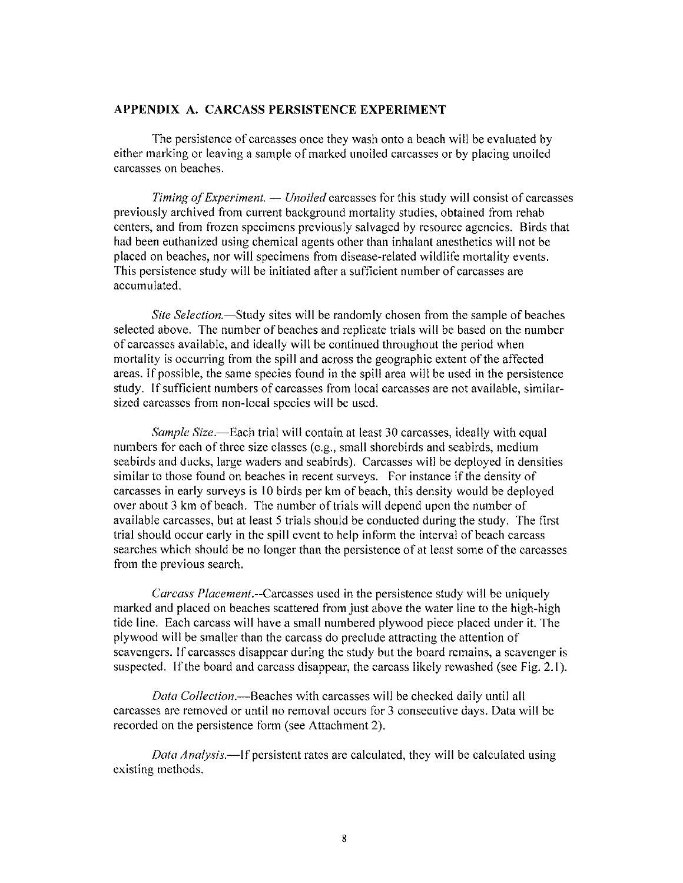## **APPENDIX A. CARCASS PERSISTENCE EXPERIMENT**

The persistence of carcasses once they wash onto a beach will be evaluated by either marking or leaving a sample of marked unoiled carcasses or by placing unoiled carcasses on beaches.

*Timing of Experiment. — Unoiled* carcasses for this study will consist of carcasses previously archived from current background mortality studies, obtained from rehab centers, and from frozen specimens previously salvaged by resource agencies. Birds that had been euthanized using chemical agents other than inhalant anesthetics will not be placed on beaches, nor will specimens from disease-related wildlife mortality events. This persistence study will be initiated after a sufficient number of carcasses are accumulated.

*Site Selection.*—Study sites will be randomly chosen from the sample of beaches selected above. The number of beaches and replicate trials will be based on the number of carcasses available, and ideally will be continued throughout the period when mortality is occurring from the spill and across the geographic extent of the affected areas. If possible, the same species found in the spill area will be used in the persistence study. If sufficient numbers of carcasses from local carcasses are not available, similarsized carcasses from non-local species will be used.

*Sample Size*.—Each trial will contain at least 30 carcasses, ideally with equal numbers for each of three size classes (e.g., small shorebirds and seabirds, medium seabirds and ducks, large waders and seabirds). Carcasses will be deployed in densities similar to those found on beaches in recent surveys. For instance if the density of carcasses in early surveys is 10 birds per km of beach, this density would be deployed over about 3 km of beach. The number of trials will depend upon the number of available carcasses, but at least 5 trials should be conducted during the study. The first trial should occur early in the spill event to help inform the interval of beach carcass searches which should be no longer than the persistence of at least some of the carcasses from the previous search.

*Carcass Placement.--Carcasses* used in the persistence study will be uniquely marked and placed on beaches scattered from just above the water line to the high-high tide line. Each carcass will have a small numbered plywood piece placed under it. The plywood will be smaller than the carcass do preclude attracting the attention of scavengers. If carcasses disappear during the study but the board remains, a scavenger is suspected. If the board and carcass disappear, the carcass likely rewashed (see Fig. 2.1).

*Data Collection.-Beaches* with carcasses will be checked daily until all carcasses are removed or until no removal occurs for 3 consecutive days. Data will be recorded on the persistence form (see Attachment 2).

*Data Analysis.*—If persistent rates are calculated, they will be calculated using existing methods.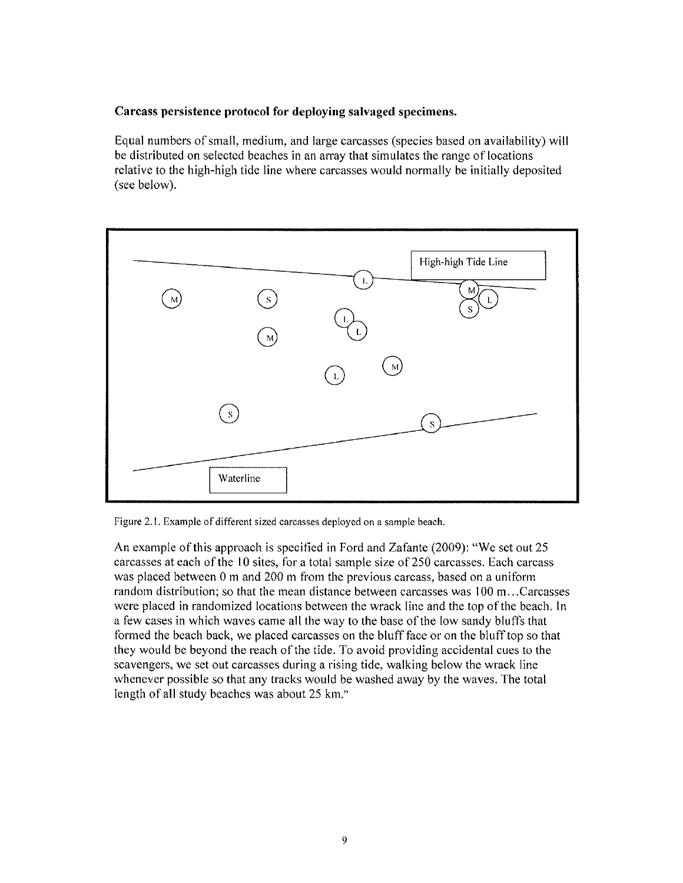# Carcass persistence protocol for deploying salvaged specimens.

Equal numbers of small, medium, and large carcasses (species based on availability) will be distributed on selected beaches in an array that simulates the range of locations relative to the high-high tide line where carcasses would normally be initially deposited (see below).



Figure 2.1. Example of different sized carcasses deployed on a sample beach.

An example of this approach is specified in Ford and Zafante  $(2009)$ : "We set out 25 carcasses at each of the 10 sites, for a total sample size of 250 carcasses. Each carcass was placed between  $0 \text{ m}$  and  $200 \text{ m}$  from the previous carcass, based on a uniform random distribution; so that the mean distance between carcasses was 100 m...Carcasses were placed in randomized locations between the wrack line and the top of the beach. In a few cases in which waves came all the way to the base of the low sandy bluffs that formed the beach back, we placed carcasses on the bluff face or on the bluff top so that they would be beyond the reach of the tide. To avoid providing accidental cues to the scavengers, we set out carcasses during a rising tide, walking below the wrack line whenever possible so that any tracks would be washed away by the waves. The total length of all study beaches was about 25 km."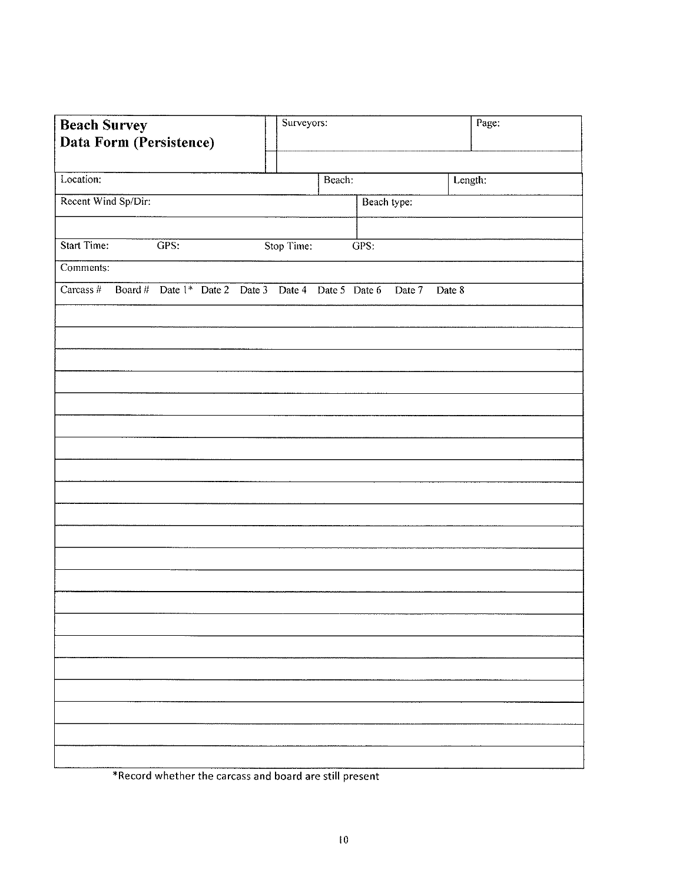| <b>Beach Survey</b>           | Surveyors:                                                | Page:   |
|-------------------------------|-----------------------------------------------------------|---------|
| Data Form (Persistence)       |                                                           |         |
| Location:                     | Beach:                                                    | Length: |
| Recent Wind Sp/Dir:           | Beach type:                                               |         |
|                               |                                                           |         |
| Start Time:<br>GPS:           | Stop Time:<br>GPS:                                        |         |
| Comments:                     |                                                           |         |
| $\overline{\text{Carcass}\#}$ | Board # Date 1* Date 2 Date 3 Date 4 Date 5 Date 6 Date 7 | Date 8  |
|                               |                                                           |         |
|                               |                                                           |         |
|                               |                                                           |         |
|                               |                                                           |         |
|                               |                                                           |         |
|                               |                                                           |         |
|                               |                                                           |         |
|                               |                                                           |         |
|                               |                                                           |         |
|                               |                                                           |         |
|                               |                                                           |         |
|                               |                                                           |         |
|                               |                                                           |         |
|                               |                                                           |         |
|                               |                                                           |         |
|                               |                                                           |         |
|                               |                                                           |         |
|                               |                                                           |         |
|                               |                                                           |         |
|                               |                                                           |         |

\*Record whether the carcass and board are still present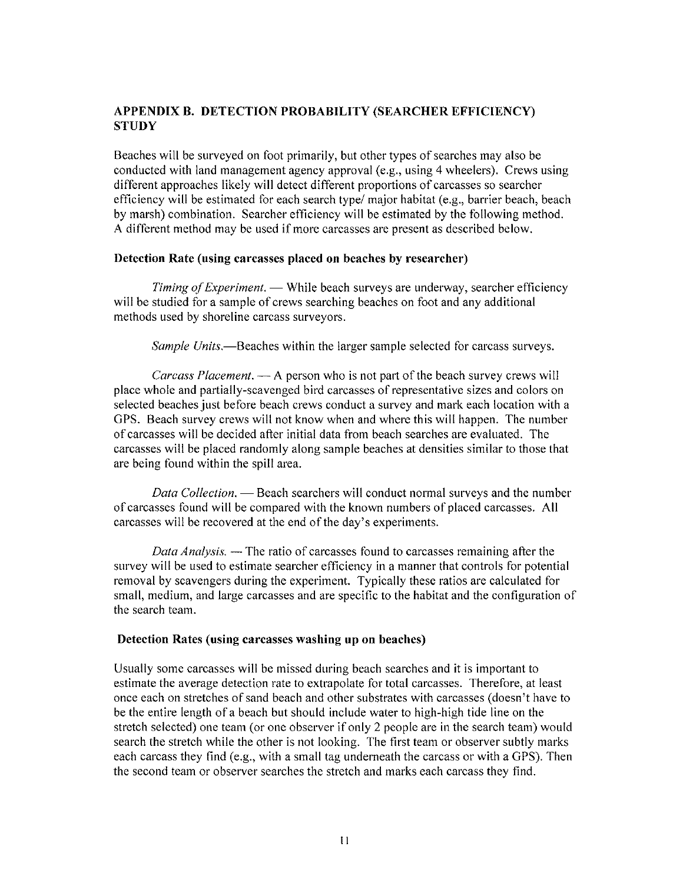# APPENDIX B. DETECTION PROBABILITY (SEARCHER EFFICIENCY) **STUDY**

Beaches will be surveyed on foot primarily, but other types of searches may also be conducted with land management agency approval (e.g., using 4 wheelers). Crews using different approaches likely will detect different proportions of carcasses so searcher efficiency will be estimated for each search type/major habitat  $(e.g., barrier beach, beach)$ by marsh) combination. Searcher efficiency will be estimated by the following method. A different method may be used if more carcasses are present as described below.

## Detection Rate (using carcasses placed on beaches by researcher)

*Timing of Experiment.* — While beach surveys are underway, searcher efficiency will be studied for a sample of crews searching beaches on foot and any additional methods used by shoreline carcass surveyors.

*Sample Units.*—Beaches within the larger sample selected for carcass surveys.

*Carcass Placement.* — A person who is not part of the beach survey crews will place whole and partially-scavenged bird carcasses of representative sizes and colors on selected beaches just before beach crews conduct a survey and mark each location with a GPS. Beach survey crews will not know when and where this will happen. The number of carcasses will be decided after initial data from beach searches are evaluated. The carcasses will be placed randomly along sample beaches at densities similar to those that are being found within the spill area.

*Data Collection.* — Beach searchers will conduct normal surveys and the number of carcasses found will be compared with the known numbers of placed carcasses. All carcasses will be recovered at the end of the day's experiments.

*Data Analysis.* — The ratio of carcasses found to carcasses remaining after the survey will be used to estimate searcher efficiency in a manner that controls for potential removal by scavengers during the experiment. Typically these ratios are calculated for small, medium, and large carcasses and are specific to the habitat and the configuration of the search team.

## Detection Rates (using carcasses washing up on beaches)

Usually some carcasses will be missed during beach searches and it is important to estimate the average detection rate to extrapolate for total carcasses. Therefore, at least once each on stretches of sand beach and other substrates with carcasses (doesn't have to be the entire length of a beach but should include water to high-high tide line on the stretch selected) one team (or one observer if only 2 people are in the search team) would search the stretch while the other is not looking. The first team or observer subtly marks each carcass they find (e.g., with a small tag underneath the carcass or with a GPS). Then the second team or observer searches the stretch and marks each carcass they find.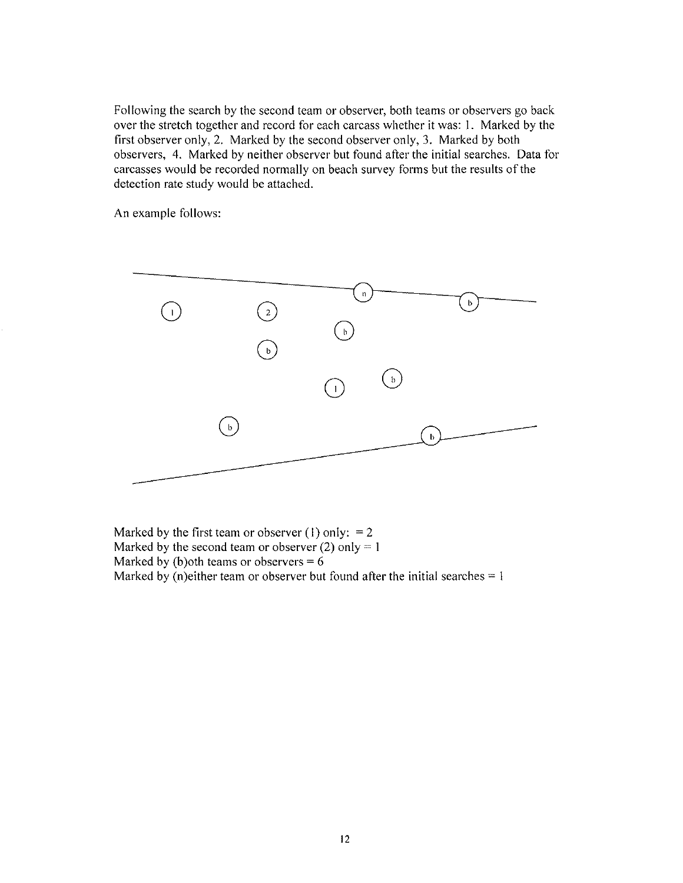Following the search by the second team or observer, both teams or observers go back over the stretch together and record for each carcass whether it was: I. Marked by the first observer only, 2. Marked by the second observer only, 3. Marked by both observers, 4. Marked by neither observer but found after the initial searches. Data for carcasses would be recorded normally on beach survey forms but the results of the detection rate study would be attached.

An example follows:



Marked by the first team or observer (1) only:  $= 2$ Marked by the second team or observer (2) only  $= 1$ Marked by (b)oth teams or observers  $= 6$ Marked by (n)either team or observer but found after the initial searches  $= 1$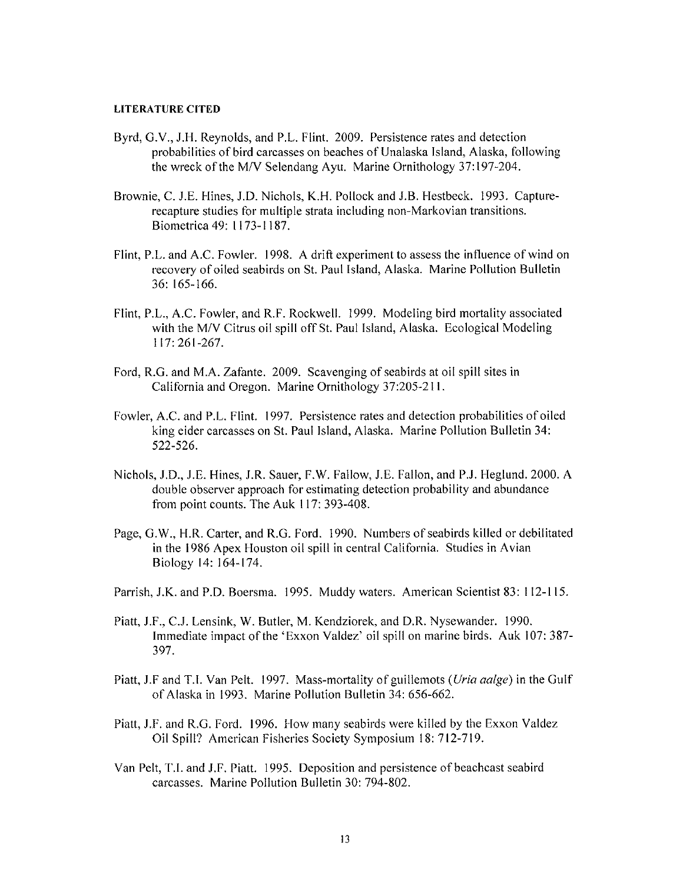### **LITERATURE CITED**

- Byrd, G.V., J.H. Reynolds, and P.L. Flint. 2009. Persistence rates and detection probabilities of bird carcasses on beaches of Unalaska Island, Alaska, following the wreck of the M/V Selendang Ayu. Marine Ornithology 37:197-204.
- Brownie, C. J.E. Hines, J.D. Nichols, K.H. Pollock and J.B. Hestbeck. 1993. Capturerecapture studies for multiple strata including non-Markovian transitions. Biometrica49: 1173-1187.
- Flint, P.L. and A.C. Fowler. 1998. A drift experiment to assess the influence of wind on recovery of oiled seabirds on St. Paul Island, Alaska. Marine Pollution Bulletin 36: 165-166.
- Flint, P.L., A.C. Fowler, and R.F. Rockwell. 1999. Modeling bird mortality associated with the M/V Citrus oil spill off St. Paul Island, Alaska. Ecological Modeling 117: 261-267.
- Ford, R.G. and M.A. Zafante. 2009. Scavenging of seabirds at oil spill sites in California and Oregon. Marine Ornithology 37:205-211.
- Fowler, A.C. and P.L. Flint. 1997. Persistence rates and detection probabilities of oiled king eider carcasses on St. Paul Island, Alaska. Marine Pollution Bulletin 34: 522-526.
- Nichols, J.D., J.E. Hines, J.R. Sauer, F.W. Fallow, J.E. Fallon, and PJ. Heglund. 2000. A double observer approach for estimating detection probability and abundance from point counts. The Auk 117: 393-408.
- Page, G.W., H.R. Carter, and R.G. Ford. 1990. Numbers of seabirds killed or debilitated in the 1986 Apex Houston oil spill in central California. Studies in Avian Biology 14: 164-174.
- Parrish, J.K. and P.O. Boersma. 1995. Muddy waters. American Scientist 83: 112-115.
- Piatt, J.F., CJ. Lensink, W. Butler, M. Kendziorek, and D.R. Nysewander. 1990. Immediate impact of the 'Exxon Valdez' oil spill on marine birds. Auk 107: 387- 397.
- Piatt, J.F and T.I. Van Pelt. 1997. Mass-mortality of guillemots *(Uria aalge)* in the Gulf of Alaska in 1993. Marine Pollution Bulletin 34: 656-662.
- Piatt, J.F. and R.G. Ford. 1996. How many seabirds were killed by the Exxon Valdez Oil Spill? American Fisheries Society Symposium 18: 712-719.
- Van Pelt, T.I. and J.F. Piatt. 1995. Deposition and persistence of beachcast seabird carcasses. Marine Pollution Bulletin 30: 794-802.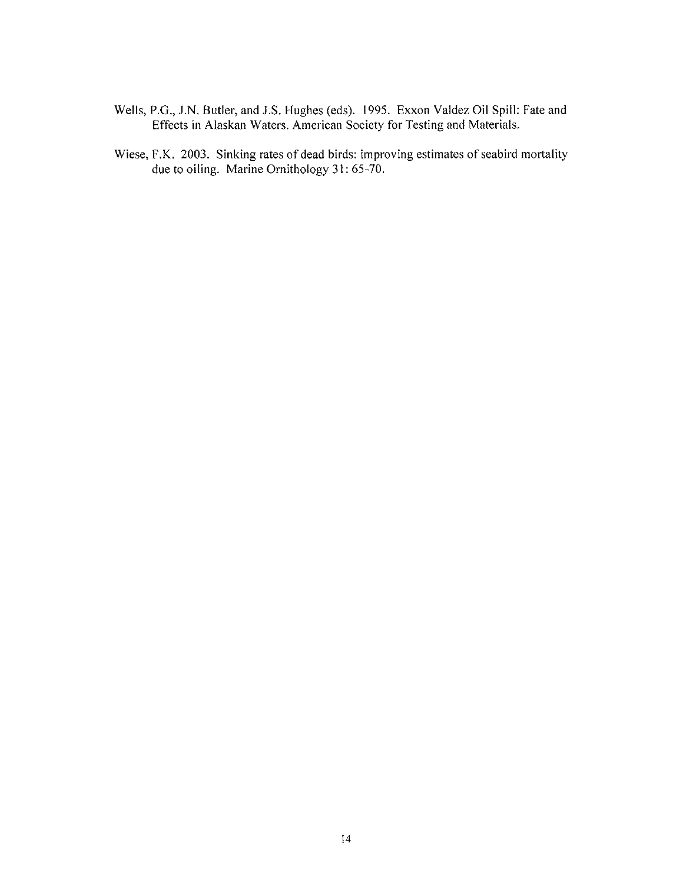- Wells, P.G., J.N. Butler, and J.S. Hughes (eds). 1995. Exxon Valdez Oil Spill: Fate and Effects in Alaskan Waters. American Society for Testing and Materials.
- Wiese, F.K. 2003. Sinking rates of dead birds: improving estimates of seabird mortality due to oiling. Marine Ornithology 31: 65-70.